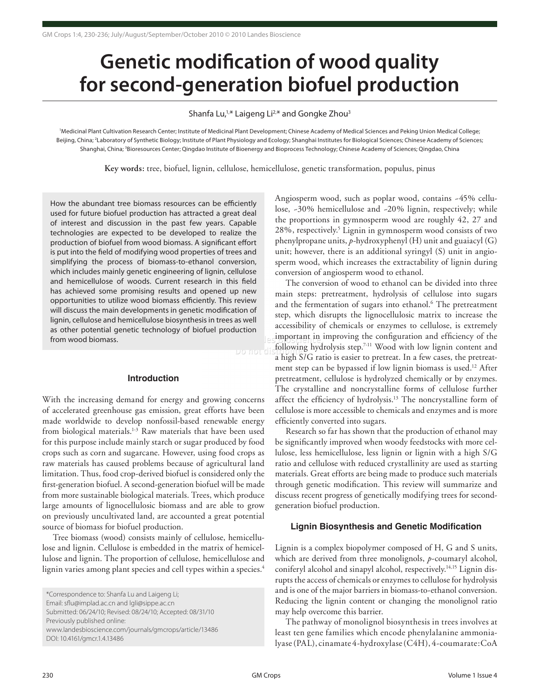# **Genetic modification of wood quality for second-generation biofuel production**

# Shanfa Lu, $1, *$  Laigeng Li $2, *$  and Gongke Zhou<sup>3</sup>

'Medicinal Plant Cultivation Research Center; Institute of Medicinal Plant Development; Chinese Academy of Medical Sciences and Peking Union Medical College; Beijing, China; 2 Laboratory of Synthetic Biology; Institute of Plant Physiology and Ecology; Shanghai Institutes for Biological Sciences; Chinese Academy of Sciences; Shanghai, China; <sup>3</sup>Bioresources Center; Qingdao Institute of Bioenergy and Bioprocess Technology; Chinese Academy of Sciences; Qingdao, China

**Key words:** tree, biofuel, lignin, cellulose, hemicellulose, genetic transformation, populus, pinus

How the abundant tree biomass resources can be efficiently used for future biofuel production has attracted a great deal of interest and discussion in the past few years. Capable technologies are expected to be developed to realize the production of biofuel from wood biomass. A significant effort is put into the field of modifying wood properties of trees and simplifying the process of biomass-to-ethanol conversion, which includes mainly genetic engineering of lignin, cellulose and hemicellulose of woods. Current research in this field has achieved some promising results and opened up new opportunities to utilize wood biomass efficiently. This review will discuss the main developments in genetic modification of lignin, cellulose and hemicellulose biosynthesis in trees as well as other potential genetic technology of biofuel production from wood biomass.

#### **Introduction**

With the increasing demand for energy and growing concerns of accelerated greenhouse gas emission, great efforts have been made worldwide to develop nonfossil-based renewable energy from biological materials.<sup>1-3</sup> Raw materials that have been used for this purpose include mainly starch or sugar produced by food crops such as corn and sugarcane. However, using food crops as raw materials has caused problems because of agricultural land limitation. Thus, food crop-derived biofuel is considered only the first-generation biofuel. A second-generation biofuel will be made from more sustainable biological materials. Trees, which produce large amounts of lignocellulosic biomass and are able to grow on previously uncultivated land, are accounted a great potential source of biomass for biofuel production.

Tree biomass (wood) consists mainly of cellulose, hemicellulose and lignin. Cellulose is embedded in the matrix of hemicellulose and lignin. The proportion of cellulose, hemicellulose and lignin varies among plant species and cell types within a species.<sup>4</sup>

Submitted: 06/24/10; Revised: 08/24/10; Accepted: 08/31/10

Previously published online:

www.landesbioscience.com/journals/gmcrops/article/13486 DOI: 10.4161/gmcr.1.4.13486

Angiosperm wood, such as poplar wood, contains ~45% cellulose, ~30% hemicellulose and ~20% lignin, respectively; while the proportions in gymnosperm wood are roughly 42, 27 and 28%, respectively.<sup>5</sup> Lignin in gymnosperm wood consists of two phenylpropane units, *p*-hydroxyphenyl (H) unit and guaiacyl (G) unit; however, there is an additional syringyl (S) unit in angiosperm wood, which increases the extractability of lignin during conversion of angiosperm wood to ethanol.

The conversion of wood to ethanol can be divided into three main steps: pretreatment, hydrolysis of cellulose into sugars and the fermentation of sugars into ethanol.<sup>6</sup> The pretreatment step, which disrupts the lignocellulosic matrix to increase the accessibility of chemicals or enzymes to cellulose, is extremely important in improving the configuration and efficiency of the following hydrolysis step.<sup>7-11</sup> Wood with low lignin content and a high S/G ratio is easier to pretreat. In a few cases, the pretreatment step can be bypassed if low lignin biomass is used.<sup>12</sup> After pretreatment, cellulose is hydrolyzed chemically or by enzymes. The crystalline and noncrystalline forms of cellulose further affect the efficiency of hydrolysis.13 The noncrystalline form of cellulose is more accessible to chemicals and enzymes and is more efficiently converted into sugars.

Research so far has shown that the production of ethanol may be significantly improved when woody feedstocks with more cellulose, less hemicellulose, less lignin or lignin with a high S/G ratio and cellulose with reduced crystallinity are used as starting materials. Great efforts are being made to produce such materials through genetic modification. This review will summarize and discuss recent progress of genetically modifying trees for secondgeneration biofuel production.

#### **Lignin Biosynthesis and Genetic Modification**

Lignin is a complex biopolymer composed of H, G and S units, which are derived from three monolignols, *p*-coumaryl alcohol, coniferyl alcohol and sinapyl alcohol, respectively.<sup>14,15</sup> Lignin disrupts the access of chemicals or enzymes to cellulose for hydrolysis and is one of the major barriers in biomass-to-ethanol conversion. Reducing the lignin content or changing the monolignol ratio may help overcome this barrier.

The pathway of monolignol biosynthesis in trees involves at least ten gene families which encode phenylalanine ammonialyase (PAL), cinamate 4-hydroxylase (C4H), 4-coumarate:CoA

<sup>\*</sup>Correspondence to: Shanfa Lu and Laigeng Li;

Email: sflu@implad.ac.cn and lgli@sippe.ac.cn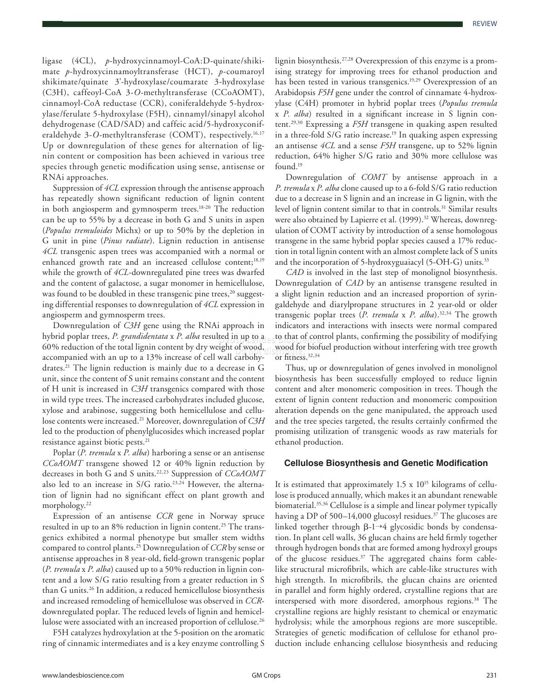ligase (4CL), *p*-hydroxycinnamoyl-CoA:D-quinate/shikimate *p*-hydroxycinnamoyltransferase (HCT), *p*-coumaroyl shikimate/quinate 3'-hydroxylase/coumarate 3-hydroxylase (C3H), caffeoyl-CoA 3-*O*-methyltransferase (CCoAOMT), cinnamoyl-CoA reductase (CCR), coniferaldehyde 5-hydroxylase/ferulate 5-hydroxylase (F5H), cinnamyl/sinapyl alcohol dehydrogenase (CAD/SAD) and caffeic acid/5-hydroxyconiferaldehyde 3-O-methyltransferase (COMT), respectively.<sup>16,17</sup> Up or downregulation of these genes for alternation of lignin content or composition has been achieved in various tree species through genetic modification using sense, antisense or RNAi approaches.

Suppression of *4CL* expression through the antisense approach has repeatedly shown significant reduction of lignin content in both angiosperm and gymnosperm trees.<sup>18-20</sup> The reduction can be up to 55% by a decrease in both G and S units in aspen (*Populus tremuloides* Michx) or up to 50% by the depletion in G unit in pine (*Pinus radiate*). Lignin reduction in antisense *4CL* transgenic aspen trees was accompanied with a normal or enhanced growth rate and an increased cellulose content;<sup>18,19</sup> while the growth of *4CL*-downregulated pine trees was dwarfed and the content of galactose, a sugar monomer in hemicellulose, was found to be doubled in these transgenic pine trees,<sup>20</sup> suggesting differential responses to downregulation of *4CL* expression in angiosperm and gymnosperm trees.

Downregulation of *C3H* gene using the RNAi approach in hybrid poplar trees, *P. grandidentata* x *P. alba* resulted in up to a 60% reduction of the total lignin content by dry weight of wood, accompanied with an up to a 13% increase of cell wall carbohydrates.<sup>21</sup> The lignin reduction is mainly due to a decrease in G unit, since the content of S unit remains constant and the content of H unit is increased in *C3H* transgenics compared with those in wild type trees. The increased carbohydrates included glucose, xylose and arabinose, suggesting both hemicellulose and cellulose contents were increased.21 Moreover, downregulation of *C3H* led to the production of phenylglucosides which increased poplar resistance against biotic pests.<sup>21</sup>

Poplar (*P. tremula* x *P. alba*) harboring a sense or an antisense *CCoAOMT* transgene showed 12 or 40% lignin reduction by decreases in both G and S units.22,23 Suppression of *CCoAOMT* also led to an increase in S/G ratio.<sup>23,24</sup> However, the alternation of lignin had no significant effect on plant growth and morphology.<sup>22</sup>

Expression of an antisense *CCR* gene in Norway spruce resulted in up to an 8% reduction in lignin content.<sup>25</sup> The transgenics exhibited a normal phenotype but smaller stem widths compared to control plants.25 Downregulation of *CCR* by sense or antisense approaches in 8 year-old, field-grown transgenic poplar (*P. tremula* x *P. alba*) caused up to a 50% reduction in lignin content and a low S/G ratio resulting from a greater reduction in S than G units.26 In addition, a reduced hemicellulose biosynthesis and increased remodeling of hemicellulose was observed in *CCR*downregulated poplar. The reduced levels of lignin and hemicellulose were associated with an increased proportion of cellulose.<sup>26</sup>

F5H catalyzes hydroxylation at the 5-position on the aromatic ring of cinnamic intermediates and is a key enzyme controlling S

lignin biosynthesis.27,28 Overexpression of this enzyme is a promising strategy for improving trees for ethanol production and has been tested in various transgenics.<sup>19,29</sup> Overexpression of an Arabidopsis *F5H* gene under the control of cinnamate 4-hydroxylase (C4H) promoter in hybrid poplar trees (*Populus tremula* x *P. alba*) resulted in a significant increase in S lignin content.29,30 Expressing a *F5H* transgene in quaking aspen resulted in a three-fold  $S/G$  ratio increase.<sup>19</sup> In quaking aspen expressing an antisense *4CL* and a sense *F5H* transgene, up to 52% lignin reduction, 64% higher S/G ratio and 30% more cellulose was found.19

Downregulation of *COMT* by antisense approach in a *P. tremula* x *P. alba* clone caused up to a 6-fold S/G ratio reduction due to a decrease in S lignin and an increase in G lignin, with the level of lignin content similar to that in controls.31 Similar results were also obtained by Lapierre et al. (1999).<sup>32</sup> Whereas, downregulation of COMT activity by introduction of a sense homologous transgene in the same hybrid poplar species caused a 17% reduction in total lignin content with an almost complete lack of S units and the incorporation of 5-hydroxyguaiacyl (5-OH-G) units.<sup>33</sup>

*CAD* is involved in the last step of monolignol biosynthesis. Downregulation of *CAD* by an antisense transgene resulted in a slight lignin reduction and an increased proportion of syringaldehyde and diarylpropane structures in 2 year-old or older transgenic poplar trees (P. tremula x P. alba).<sup>32,34</sup> The growth indicators and interactions with insects were normal compared to that of control plants, confirming the possibility of modifying wood for biofuel production without interfering with tree growth or fitness.32,34

Thus, up or downregulation of genes involved in monolignol biosynthesis has been successfully employed to reduce lignin content and alter monomeric composition in trees. Though the extent of lignin content reduction and monomeric composition alteration depends on the gene manipulated, the approach used and the tree species targeted, the results certainly confirmed the promising utilization of transgenic woods as raw materials for ethanol production.

## **Cellulose Biosynthesis and Genetic Modification**

It is estimated that approximately  $1.5 \times 10^{15}$  kilograms of cellulose is produced annually, which makes it an abundant renewable biomaterial.35,36 Cellulose is a simple and linear polymer typically having a DP of 500–14,000 glucosyl residues.<sup>37</sup> The glucoses are linked together through  $\beta$ -1→4 glycosidic bonds by condensation. In plant cell walls, 36 glucan chains are held firmly together through hydrogen bonds that are formed among hydroxyl groups of the glucose residues. $37$  The aggregated chains form cablelike structural microfibrils, which are cable-like structures with high strength. In microfibrils, the glucan chains are oriented in parallel and form highly ordered, crystalline regions that are interspersed with more disordered, amorphous regions.<sup>38</sup> The crystalline regions are highly resistant to chemical or enzymatic hydrolysis; while the amorphous regions are more susceptible. Strategies of genetic modification of cellulose for ethanol production include enhancing cellulose biosynthesis and reducing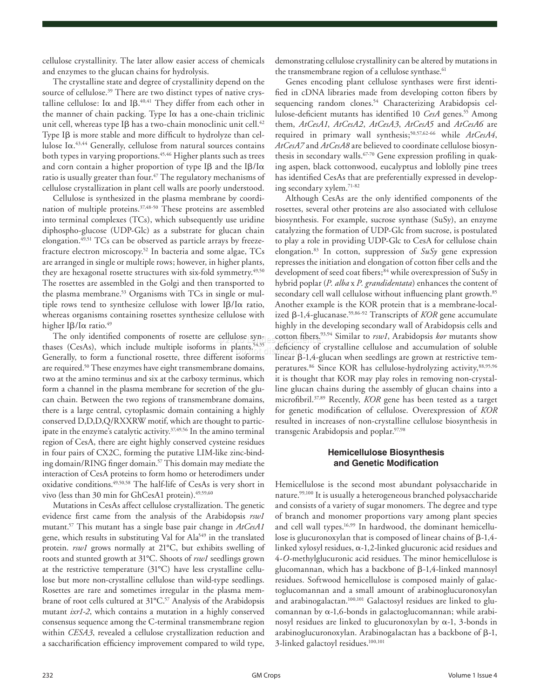cellulose crystallinity. The later allow easier access of chemicals and enzymes to the glucan chains for hydrolysis.

The crystalline state and degree of crystallinity depend on the source of cellulose.<sup>39</sup> There are two distinct types of native crystalline cellulose: Iα and I $\beta$ .<sup>40,41</sup> They differ from each other in the manner of chain packing. Type Iα has a one-chain triclinic unit cell, whereas type I $\beta$  has a two-chain monoclinic unit cell.<sup>42</sup> Type Iβ is more stable and more difficult to hydrolyze than cellulose Iα. 43,44 Generally, cellulose from natural sources contains both types in varying proportions.<sup>45,46</sup> Higher plants such as trees and corn contain a higher proportion of type Iβ and the Iβ/Iα ratio is usually greater than four.<sup>47</sup> The regulatory mechanisms of cellulose crystallization in plant cell walls are poorly understood.

Cellulose is synthesized in the plasma membrane by coordination of multiple proteins.37,48-50 These proteins are assembled into terminal complexes (TCs), which subsequently use uridine diphospho-glucose (UDP-Glc) as a substrate for glucan chain elongation.<sup>49,51</sup> TCs can be observed as particle arrays by freezefracture electron microscopy.<sup>52</sup> In bacteria and some algae, TCs are arranged in single or multiple rows; however, in higher plants, they are hexagonal rosette structures with six-fold symmetry.<sup>49,50</sup> The rosettes are assembled in the Golgi and then transported to the plasma membrane.<sup>53</sup> Organisms with TCs in single or multiple rows tend to synthesize cellulose with lower Iβ/Iα ratio, whereas organisms containing rosettes synthesize cellulose with higher Iβ/Iα ratio.<sup>49</sup>

The only identified components of rosette are cellulose synthases (CesAs), which include multiple isoforms in plants. $54,55$ Generally, to form a functional rosette, three different isoforms are required.<sup>50</sup> These enzymes have eight transmembrane domains, two at the amino terminus and six at the carboxy terminus, which form a channel in the plasma membrane for secretion of the glucan chain. Between the two regions of transmembrane domains, there is a large central, cytoplasmic domain containing a highly conserved D,D,D,Q/RXXRW motif, which are thought to participate in the enzyme's catalytic activity.<sup>37,49,56</sup> In the amino terminal region of CesA, there are eight highly conserved cysteine residues in four pairs of CX2C, forming the putative LIM-like zinc-binding domain/RING finger domain.57 This domain may mediate the interaction of CesA proteins to form homo or heterodimers under oxidative conditions.49,50,58 The half-life of CesAs is very short in vivo (less than 30 min for GhCesA1 protein).<sup>49,59,60</sup>

Mutations in CesAs affect cellulose crystallization. The genetic evidence first came from the analysis of the Arabidopsis *rsw1* mutant.57 This mutant has a single base pair change in *AtCesA1* gene, which results in substituting Val for Ala<sup>549</sup> in the translated protein. *rsw1* grows normally at 21°C, but exhibits swelling of roots and stunted growth at 31°C. Shoots of *rsw1* seedlings grown at the restrictive temperature (31°C) have less crystalline cellulose but more non-crystalline cellulose than wild-type seedlings. Rosettes are rare and sometimes irregular in the plasma membrane of root cells cultured at 31°C.<sup>57</sup> Analysis of the Arabidopsis mutant *ixr1-2*, which contains a mutation in a highly conserved consensus sequence among the C-terminal transmembrane region within *CESA3*, revealed a cellulose crystallization reduction and a saccharification efficiency improvement compared to wild type,

demonstrating cellulose crystallinity can be altered by mutations in the transmembrane region of a cellulose synthase.<sup>61</sup>

Genes encoding plant cellulose synthases were first identified in cDNA libraries made from developing cotton fibers by sequencing random clones.<sup>54</sup> Characterizing Arabidopsis cellulose-deficient mutants has identified 10 *CesA* genes.<sup>55</sup> Among them, *AtCesA1*, *AtCesA2*, *AtCesA3*, *AtCesA5* and *AtCesA6* are required in primary wall synthesis;50,57,62-66 while *AtCesA4*, *AtCesA7* and *AtCesA8* are believed to coordinate cellulose biosynthesis in secondary walls.<sup>67-70</sup> Gene expression profiling in quaking aspen, black cottonwood, eucalyptus and loblolly pine trees has identified CesAs that are preferentially expressed in developing secondary xylem.71-82

Although CesAs are the only identified components of the rosettes, several other proteins are also associated with cellulose biosynthesis. For example, sucrose synthase (SuSy), an enzyme catalyzing the formation of UDP-Glc from sucrose, is postulated to play a role in providing UDP-Glc to CesA for cellulose chain elongation.83 In cotton, suppression of *SuSy* gene expression represses the initiation and elongation of cotton fiber cells and the development of seed coat fibers;<sup>84</sup> while overexpression of SuSy in hybrid poplar (*P. alba* x *P. grandidentata*) enhances the content of secondary cell wall cellulose without influencing plant growth.<sup>85</sup> Another example is the KOR protein that is a membrane-localized β-1,4-glucanase.59,86-92 Transcripts of *KOR* gene accumulate highly in the developing secondary wall of Arabidopsis cells and cotton fibers.93,94 Similar to *rsw1*, Arabidopsis *kor* mutants show deficiency of crystalline cellulose and accumulation of soluble linear β-1,4-glucan when seedlings are grown at restrictive temperatures.<sup>86</sup> Since KOR has cellulose-hydrolyzing activity,<sup>88,95,96</sup> it is thought that KOR may play roles in removing non-crystalline glucan chains during the assembly of glucan chains into a microfibril.37,89 Recently, *KOR* gene has been tested as a target for genetic modification of cellulose. Overexpression of *KOR* resulted in increases of non-crystalline cellulose biosynthesis in transgenic Arabidopsis and poplar.97,98

# **Hemicellulose Biosynthesis and Genetic Modification**

Hemicellulose is the second most abundant polysaccharide in nature.99,100 It is usually a heterogeneous branched polysaccharide and consists of a variety of sugar monomers. The degree and type of branch and monomer proportions vary among plant species and cell wall types.<sup>16,99</sup> In hardwood, the dominant hemicellulose is glucuronoxylan that is composed of linear chains of β-1,4 linked xylosyl residues, α-1,2-linked glucuronic acid residues and 4-*O*-methylglucuronic acid residues. The minor hemicellulose is glucomannan, which has a backbone of β-1,4-linked mannosyl residues. Softwood hemicellulose is composed mainly of galactoglucomannan and a small amount of arabinoglucuronoxylan and arabinogalactan.<sup>100,101</sup> Galactosyl residues are linked to glucomannan by α-1,6-bonds in galactoglucomannan; while arabinosyl residues are linked to glucuronoxylan by  $\alpha$ -1, 3-bonds in arabinoglucuronoxylan. Arabinogalactan has a backbone of β-1, 3-linked galactoyl residues.<sup>100,101</sup>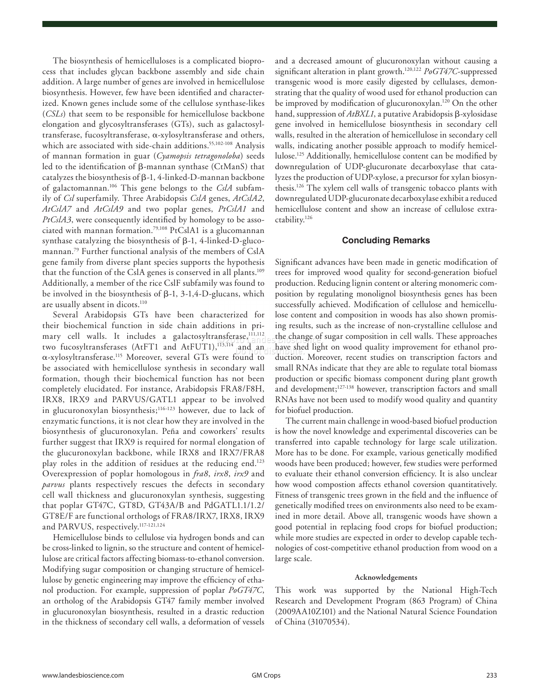The biosynthesis of hemicelluloses is a complicated bioprocess that includes glycan backbone assembly and side chain addition. A large number of genes are involved in hemicellulose biosynthesis. However, few have been identified and characterized. Known genes include some of the cellulose synthase-likes (*CSLs*) that seem to be responsible for hemicellulose backbone elongation and glycosyltransferases (GTs), such as galactosyltransferase, fucosyltransferase, α-xylosyltransferase and others, which are associated with side-chain additions.<sup>55,102-108</sup> Analysis of mannan formation in guar (*Cyamopsis tetragonoloba*) seeds led to the identification of β-mannan synthase (CtManS) that catalyzes the biosynthesis of β-1, 4-linked-D-mannan backbone of galactomannan.106 This gene belongs to the *CslA* subfamily of *Csl* superfamily. Three Arabidopsis *CslA* genes, *AtCslA2*, *AtCslA7* and *AtCslA9* and two poplar genes, *PtCslA1* and *PtCslA3*, were consequently identified by homology to be associated with mannan formation.79,108 PtCslA1 is a glucomannan synthase catalyzing the biosynthesis of β-1, 4-linked-D-glucomannan.79 Further functional analysis of the members of CslA gene family from diverse plant species supports the hypothesis that the function of the CslA genes is conserved in all plants.<sup>109</sup> Additionally, a member of the rice CslF subfamily was found to be involved in the biosynthesis of  $\beta$ -1, 3-1,4-D-glucans, which are usually absent in dicots.<sup>110</sup>

Several Arabidopsis GTs have been characterized for their biochemical function in side chain additions in primary cell walls. It includes a galactosyltransferase, $\frac{111,112}{2000}$ two fucosyltransferases (AtFT1 and AtFUT1), $^{113,114}$  and an α-xylosyltransferase.115 Moreover, several GTs were found to be associated with hemicellulose synthesis in secondary wall formation, though their biochemical function has not been completely elucidated. For instance, Arabidopsis FRA8/F8H, IRX8, IRX9 and PARVUS/GATL1 appear to be involved in glucuronoxylan biosynthesis;<sup>116-123</sup> however, due to lack of enzymatic functions, it is not clear how they are involved in the biosynthesis of glucuronoxylan. Peña and coworkers' results further suggest that IRX9 is required for normal elongation of the glucuronoxylan backbone, while IRX8 and IRX7/FRA8 play roles in the addition of residues at the reducing end.123 Overexpression of poplar homologous in *fra8*, *irx8*, *irx9* and *parvus* plants respectively rescues the defects in secondary cell wall thickness and glucuronoxylan synthesis, suggesting that poplar GT47C, GT8D, GT43A/B and PdGATL1.1/1.2/ GT8E/F are functional orthologs of FRA8/IRX7, IRX8, IRX9 and PARVUS, respectively.<sup>117-121,124</sup>

Hemicellulose binds to cellulose via hydrogen bonds and can be cross-linked to lignin, so the structure and content of hemicellulose are critical factors affecting biomass-to-ethanol conversion. Modifying sugar composition or changing structure of hemicellulose by genetic engineering may improve the efficiency of ethanol production. For example, suppression of poplar *PoGT47C*, an ortholog of the Arabidopsis GT47 family member involved in glucuronoxylan biosynthesis, resulted in a drastic reduction in the thickness of secondary cell walls, a deformation of vessels

and a decreased amount of glucuronoxylan without causing a significant alteration in plant growth.120,122 *PoGT47C*-suppressed transgenic wood is more easily digested by cellulases, demonstrating that the quality of wood used for ethanol production can be improved by modification of glucuronoxylan.<sup>120</sup> On the other hand, suppression of *AtBXL1*, a putative Arabidopsis β-xylosidase gene involved in hemicellulose biosynthesis in secondary cell walls, resulted in the alteration of hemicellulose in secondary cell walls, indicating another possible approach to modify hemicellulose.125 Additionally, hemicellulose content can be modified by downregulation of UDP-glucuronate decarboxylase that catalyzes the production of UDP-xylose, a precursor for xylan biosynthesis.126 The xylem cell walls of transgenic tobacco plants with downregulated UDP-glucuronate decarboxylase exhibit a reduced hemicellulose content and show an increase of cellulose extractability.126

## **Concluding Remarks**

Significant advances have been made in genetic modification of trees for improved wood quality for second-generation biofuel production. Reducing lignin content or altering monomeric composition by regulating monolignol biosynthesis genes has been successfully achieved. Modification of cellulose and hemicellulose content and composition in woods has also shown promising results, such as the increase of non-crystalline cellulose and the change of sugar composition in cell walls. These approaches have shed light on wood quality improvement for ethanol production. Moreover, recent studies on transcription factors and small RNAs indicate that they are able to regulate total biomass production or specific biomass component during plant growth and development;<sup>127-138</sup> however, transcription factors and small RNAs have not been used to modify wood quality and quantity for biofuel production.

The current main challenge in wood-based biofuel production is how the novel knowledge and experimental discoveries can be transferred into capable technology for large scale utilization. More has to be done. For example, various genetically modified woods have been produced; however, few studies were performed to evaluate their ethanol conversion efficiency. It is also unclear how wood compostion affects ethanol coversion quantitatively. Fitness of transgenic trees grown in the field and the influence of genetically modified trees on environments also need to be examined in more detail. Above all, transgenic woods have shown a good potential in replacing food crops for biofuel production; while more studies are expected in order to develop capable technologies of cost-competitive ethanol production from wood on a large scale.

#### **Acknowledgements**

This work was supported by the National High-Tech Research and Development Program (863 Program) of China (2009AA10Z101) and the National Natural Science Foundation of China (31070534).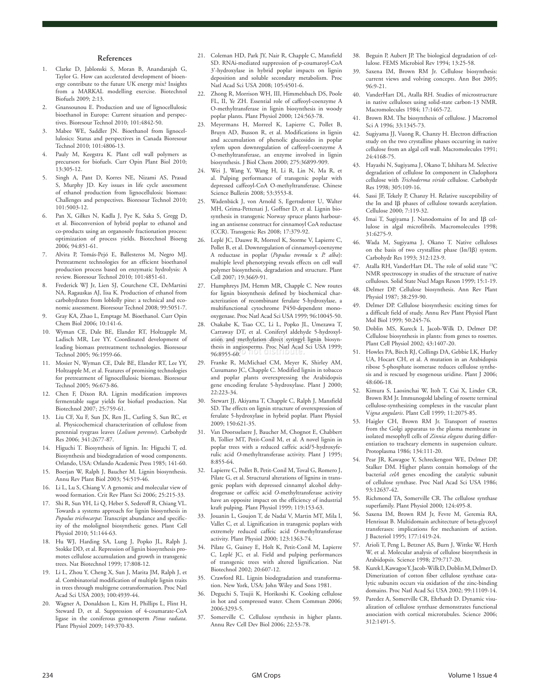#### **References**

- 1. Clarke D, Jablonski S, Moran B, Anandarajah G, Taylor G. How can accelerated development of bioenergy contribute to the future UK energy mix? Insights from a MARKAL modelling exercise. Biotechnol Biofuels 2009; 2:13.
- 2. Gnansounou E. Production and use of lignocellulosic bioethanol in Europe: Current situation and perspectives. Bioresour Technol 2010; 101:4842-50.
- 3. Mabee WE, Saddler JN. Bioethanol from lignocellulosics: Status and perspectives in Canada Bioresour Technol 2010; 101:4806-13.
- 4. Pauly M, Keegstra K. Plant cell wall polymers as precursors for biofuels. Curr Opin Plant Biol 2010; 13:305-12.
- 5. Singh A, Pant D, Korres NE, Nizami AS, Prasad S, Murphy JD. Key issues in life cycle assessment of ethanol production from lignocellulosic biomass: Challenges and perspectives. Bioresour Technol 2010; 101:5003-12.
- 6. Pan X, Gilkes N, Kadla J, Pye K, Saka S, Gregg D, et al. Bioconversion of hybrid poplar to ethanol and co-products using an organosolv fractionation process: optimization of process yields. Biotechnol Bioeng 2006; 94:851-61.
- 7. Alvira P, Tomás-Pejó E, Ballesteros M, Negro MJ. Pretreatment technologies for an efficient bioethanol production process based on enzymatic hydrolysis: A review. Bioresour Technol 2010; 101:4851-61.
- 8. Frederick WJ Jr, Lien SJ, Courchene CE, DeMartini NA, Ragauskas AJ, Iisa K. Production of ethanol from carbohydrates from loblolly pine: a technical and economic assessment. Bioresour Technol 2008; 99:5051-7.
- 9. Gray KA, Zhao L, Emptage M. Bioethanol. Curr Opin Chem Biol 2006; 10:141-6.
- 10. Wyman CE, Dale BE, Elander RT, Holtzapple M, Ladisch MR, Lee YY. Coordinated development of leading biomass pretreatment technologies. Bioresour Technol 2005; 96:1959-66.
- 11. Mosier N, Wyman CE, Dale BE, Elander RT, Lee YY, Holtzapple M, et al. Features of promising technologies for pretreatment of lignocellulosic biomass. Bioresour Technol 2005; 96:673-86.
- 12. Chen F, Dixon RA. Lignin modification improves fermentable sugar yields for biofuel production. Nat Biotechnol 2007; 25:759-61.
- 13. Liu CF, Xu F, Sun JX, Ren JL, Curling S, Sun RC, et al. Physicochemical characterization of cellulose from perennial ryegrass leaves (*Lolium perenne*). Carbohydr Res 2006; 341:2677-87.
- 14. Higuchi T. Biosynthesis of lignin. In: Higuchi T, ed. Biosynthesis and biodegradation of wood components. Orlando, USA: Orlando Academic Press 1985; 141-60.
- 15. Boerjan W, Ralph J, Baucher M. Lignin biosynthesis. Annu Rev Plant Biol 2003; 54:519-46.
- 16. Li L, Lu S, Chiang V. A genomic and molecular view of wood formation. Crit Rev Plant Sci 2006; 25:215-33.
- 17. Shi R, Sun YH, Li Q, Heber S, Sederoff R, Chiang VL. Towards a systems approach for lignin biosynthesis in *Populus trichocarpa*: Transcript abundance and specificity of the mololignol biosynthetic genes. Plant Cell Physiol 2010; 51:144-63.
- 18. Hu WJ, Harding SA, Lung J, Popko JL, Ralph J, Stokke DD, et al. Repression of lignin biosynthesis promotes cellulose accumulation and growth in transgenic trees. Nat Biotechnol 1999; 17:808-12.
- 19. Li L, Zhou Y, Cheng X, Sun J, Marita JM, Ralph J, et al. Combinatorial modification of multiple lignin traits in trees through multigene cotransformation. Proc Natl Acad Sci USA 2003; 100:4939-44.
- 20. Wagner A, Donaldson L, Kim H, Phillips L, Flint H, Steward D, et al. Suppression of 4-coumarate-CoA ligase in the coniferous gymnosperm *Pinus radiata*. Plant Physiol 2009; 149:370-83.
- 21. Coleman HD, Park JY, Nair R, Chapple C, Mansfield SD. RNAi-mediated suppression of p-coumaroyl-CoA 3'-hydroxylase in hybrid poplar impacts on lignin deposition and soluble secondary metabolism. Proc Natl Acad Sci USA 2008; 105:4501-6.
- 22. Zhong R, Morrison WH, III, Himmelsbach DS, Poole FL, II, Ye ZH. Essential role of caffeoyl-coenzyme A O-methyltransferase in lignin biosynthesis in woody poplar plants. Plant Physiol 2000; 124:563-78.
- 23. Meyermans H, Morreel K, Lapierre C, Pollet B, Bruyn AD, Busson R, et al. Modifications in lignin and accumulation of phenolic glucosides in poplar xylem upon downregulation of caffeoyl-coenzyme A O-methyltransferase, an enzyme involved in lignin biosynthesis. J Biol Chem 2000; 275:36899-909.
- 24. Wei J, Wang Y, Wang H, Li R, Lin N, Ma R, et al. Pulping performance of transgenic poplar with depressed caffeoyl-CoA O-methyltransferase. Chinese Science Bulletin 2008; 53:3553-8.
- 25. Wadenbäck J, von Arnold S, Egertsdotter U, Walter MH, Grima-Pettenati J, Goffner D, et al. Lignin biosynthesis in transgenic Norway spruce plants harbouring an antisense construct for cinnamoyl CoA reductase (CCR). Transgenic Res 2008; 17:379-92.
- 26. Leplé JC, Dauwe R, Morreel K, Storme V, Lapierre C, Pollet B, et al. Downregulation of cinnamoyl-coenzyme A reductase in poplar (*Populus tremula* x *P. alba*): multiple level phenotyping reveals effects on cell wall polymer biosynthesis, degradation and structure. Plant Cell 2007; 19:3669-91.
- 27. Humphreys JM, Hemm MR, Chapple C. New routes for lignin biosynthesis defined by biochemical characterization of recombinant ferulate 5-hydroxylase, a multifunctional cytochrome P450-dependent monooxygenase. Proc Natl Acad Sci USA 1999; 96:10045-50.
- 28. Osakabe K, Tsao CC, Li L, Popko JL, Umezawa T, Carraway DT, et al. Coniferyl aldehyde 5-hydroxylation and methylation direct syringyl lignin biosynthesis in angiosperms. Proc Natl Acad Sci USA 1999; 96:8955-60.
- 29. Franke R, McMichael CM, Meyer K, Shirley AM, Cusumano JC, Chapple C. Modified lignin in tobacco and poplar plants overexpressing the Arabidopsis gene encoding ferulate 5-hydroxylase. Plant J 2000; 22:223-34.
- 30. Stewart JJ, Akiyama T, Chapple C, Ralph J, Mansfield SD. The effects on lignin structure of overexpression of ferulate 5-hydroxylase in hybrid poplar. Plant Physiol 2009; 150:621-35.
- 31. Van Doorsselaere J, Baucher M, Chognot E, Chabbert B, Tollier MT, Petit-Conil M, et al. A novel lignin in poplar trees with a reduced caffeic acid/5-hydroxyferulic acid *O*-methyltransferase activity. Plant J 1995; 8:855-64.
- 32. Lapierre C, Pollet B, Petit-Conil M, Toval G, Romero J, Pilate G, et al. Structural alterations of lignins in transgenic poplars with depressed cinnamyl alcohol dehydrogenase or caffeic acid *O*-methyltransferase activity have an opposite impact on the efficiency of industrial kraft pulping. Plant Physiol 1999; 119:153-63.
- 33. Jouanin L, Goujon T, de Nadaï V, Martin MT, Mila I, Vallet C, et al. Lignification in transgenic poplars with extremely reduced caffeic acid *O*-methyltransferase activity. Plant Physiol 2000; 123:1363-74.
- 34. Pilate G, Guiney E, Holt K, Petit-Conil M, Lapierre C, Leplé JC, et al. Field and pulping performances of transgenic trees with altered lignification. Nat Biotechnol 2002; 20:607-12.
- 35. Crawford RL. Lignin biodegradation and transformation. New York, USA: John Wiley and Sons 1981.
- 36. Deguchi S, Tsujii K, Horikoshi K. Cooking cellulose in hot and compressed water. Chem Commun 2006; 2006:3293-5.
- 37. Somerville C. Cellulose synthesis in higher plants. Annu Rev Cell Dev Biol 2006; 22:53-78.
- 38. Beguin P, Aubert JP. The biological degradation of cellulose. FEMS Microbiol Rev 1994; 13:25-58.
- 39. Saxena IM, Brown RM Jr. Cellulose biosynthesis: current views and volving concepts. Ann Bot 2005; 96:9-21.
- 40. VanderHart DL, Atalla RH. Studies of microstructure in native celluloses using solid-state carbon-13 NMR. Macromolecules 1984; 17:1465-72.
- 41. Brown RM. The biosynthesis of cellulose. J Macromol Sci A 1996; 33:1345-73.
- 42. Sugiyama JJ, Vuong R, Chanzy H. Electron diffraction study on the two crystalline phases occurring in native cellulose from an algal cell wall. Macromolecules 1991; 24:4168-75.
- 43. Hayashi N, Sugiyama J, Okano T, Ishihara M. Selective degradation of cellulose Iα component in Cladophora cellulose with *Trichoderma viride* cellulose. Carbohydr Res 1998; 305:109-16.
- 44. Sassi JF, Tekely P, Chanzy H. Relative susceptibility of the Iα and Iβ phases of cellulose towards acetylation. Cellulose 2000; 7:119-32.
- 45. Imai T, Sugiyama J. Nanodomains of Iα and Iβ cellulose in algal microfibrils. Macromolecules 1998; 31:6275-9.
- 46. Wada M, Sugiyama J, Okano T. Native celluloses on the basis of two crystalline phase (Iα/Iβ) system. Carbohydr Res 1993; 312:123-9.
- 47. Atalla RH, VanderHart DL. The role of solid state 13C NMR spectroscopy in studies of the structure of native celluloses. Solid State Nucl Magn Reson 1999; 15:1-19.
- 48. Delmer DP. Cellulose biosynthesis. Ann Rev Plant Physiol 1987; 38:259-90.
- 49. Delmer DP. Cellulose biosynthesis: exciting times for a difficult field of study. Annu Rev Plant Physiol Plant Mol Biol 1999; 50:245-76.
- 50. Doblin MS, Kureck I, Jacob-Wilk D, Delmer DP. Cellulose biosynthesis in plants: from genes to rosettes. Plant Cell Physiol 2002; 43:1407-20.
- 51. Howles PA, Birch RJ, Collings DA, Gebbie LK, Hurley UA, Hocart CH, et al. A mutation in an Arabidopsis ribose 5-phosphate isomerase reduces cellulose synthesis and is rescued by exogenous uridine. Plant J 2006; 48:606-18.
- 52. Kimura S, Laosinchai W, Itoh T, Cui X, Linder CR, Brown RM Jr. Immunogold labeling of rosette terminal cellulose-synthesizing complexes in the vascular plant V*igna angularis*. Plant Cell 1999; 11:2075-85.
- 53. Haigler CH, Brown RM Jr. Transport of rosettes from the Golgi apparatus to the plasma membrane in isolated mesophyll cells of *Zinnia elegans* during differentiation to tracheary elements in suspension culture. Protoplasma 1986; 134:111-20.
- 54. Pear JR, Kawagoe Y, Schreckengost WE, Delmer DP, Stalker DM. Higher plants contain homologs of the bacterial *celA* genes encoding the catalytic subunit of cellulose synthase. Proc Natl Acad Sci USA 1986; 93:12637-42.
- Richmond TA, Somerville CR. The cellulose synthase superfamily. Plant Physiol 2000; 124:495-8.
- 56. Saxena IM, Brown RM Jr, Fevre M, Geremia RA, Henrissat B. Multidomain architecture of beta-glycosyl transferases: implications for mechanism of action. J Bacteriol 1995; 177:1419-24.
- 57. Arioli T, Peng L, Betzner AS, Burn J, Wittke W, Herth W, et al. Molecular analysis of cellulose biosynthesis in Arabidopsis. Science 1998; 279:717-20.
- 58. Kurek I, Kawagoe Y, Jacob-Wilk D, Doblin M, Delmer D. Dimerization of cotton fiber cellulose synthase catalytic subunits occurs via oxidation of the zinc-binding domains. Proc Natl Acad Sci USA 2002; 99:11109-14.
- Paredez A, Somerville CR, Ehrhardt D. Dynamic visualization of cellulose synthase demonstrates functional association with cortical microtubules. Science 2006; 312:1491-5.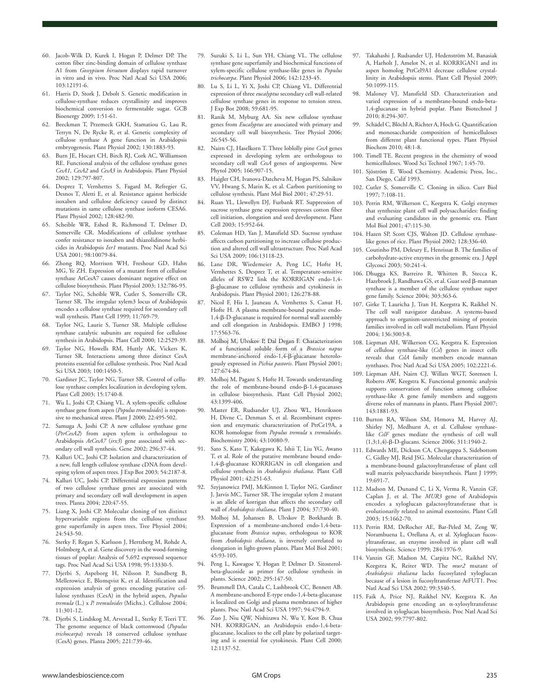- 60. Jacob-Wilk D, Kurek I, Hogan P, Delmer DP. The cotton fiber zinc-binding domain of cellulose synthase A1 from *Gossypium hirsutum* displays rapid turnover in vitro and in vivo. Proc Natl Acad Sci USA 2006; 103:12191-6.
- 61. Harris D, Stork J, Debolt S. Genetic modification in cellulose-synthase reduces crystallinity and improves biochemical conversion to fermentable sugar. GCB Bioenergy 2009; 1:51-61.
- 62. Beeckman T, Przemeck GKH, Stamatiou G, Lau R, Terryn N, De Rycke R, et al. Genetic complexity of cellulose synthase A gene function in Arabidopsis embryogenesis. Plant Physiol 2002; 130:1883-93.
- 63. Burn JE, Hocart CH, Birch RJ, Cork AC, Williamson RE. Functional analysis of the cellulose synthase genes *CesA1*, *CesA2* and *CesA3* in Arabidopsis. Plant Physiol 2002; 129:797-807.
- 64. Desprez T, Vernhettes S, Fagard M, Refregier G, Desnos T, Aletti E, et al. Resistance against herbicide isoxaben and cellulose deficiency caused by distinct mutations in same cellulose synthase isoform CESA6. Plant Physiol 2002; 128:482-90.
- 65. Scheible WR, Eshed R, Richmond T, Delmer D, Somerville CR. Modifications of cellulose synthase confer resistance to isoxaben and thiazolidinone herbicides in Arabidopsis *Ixr1* mutants. Proc Natl Acad Sci USA 2001; 98:10079-84.
- 66. Zhong RQ, Morrison WH, Freshour GD, Hahn MG, Ye ZH. Expression of a mutant form of cellulose synthase AtCesA7 causes dominant negative effect on cellulose biosynthesis. Plant Physiol 2003; 132:786-95.
- 67. Taylor NG, Scheible WR, Cutler S, Somerville CR, Turner SR. The irregular xylem3 locus of Arabidopsis encodes a cellulose synthase required for secondary cell wall synthesis. Plant Cell 1999; 11:769-79.
- 68. Taylor NG, Laurie S, Turner SR. Multiple cellulose synthase catalytic subunits are required for cellulose synthesis in Arabidopsis. Plant Cell 2000; 12:2529-39.
- 69. Taylor NG, Howells RM, Huttly AK, Vickers K, Turner SR. Interactions among three distinct CesA proteins essential for cellulose synthesis. Proc Natl Acad Sci USA 2003; 100:1450-5.
- 70. Gardiner JC, Taylor NG, Turner SR. Control of cellulose synthase complex localization in developing xylem. Plant Cell 2003; 15:1740-8.
- 71. Wu L, Joshi CP, Chiang VL. A xylem-specific cellulose synthase gene from aspen (*Populus tremuloides*) is responsive to mechanical stress. Plant I 2000; 22:495-502.
- 72. Samuga A, Joshi CP. A new cellulose synthase gene (*PtrCesA2*) from aspen xylem is orthologous to Arabidopsis *AtCesA7* (*irx3*) gene associated with secondary cell wall synthesis. Gene 2002; 296:37-44.
- 73. Kalluri UC, Joshi CP. Isolation and characterization of a new, full length cellulose synthase cDNA from developing xylem of aspen trees. J Exp Bot 2003; 54:2187-8.
- 74. Kalluri UC, Joshi CP. Differential expression patterns of two cellulose synthase genes are associated with primary and secondary cell wall development in aspen trees. Planta 2004; 220:47-55.
- 75. Liang X, Joshi CP. Molecular cloning of ten distinct hypervariable regions from the cellulose synthase gene superfamily in aspen trees. Tree Physiol 2004;  $24:543-50.$
- 76. Sterky F, Regan S, Karlsson J, Hertzberg M, Rohde A, Holmberg A, et al. Gene discovery in the wood-forming tissues of poplar: Analysis of 5,692 expressed sequence tags. Proc Natl Acad Sci USA 1998; 95:13330-5.
- 77. Djerbi S, Aspeborg H, Nilsson P, Sundberg B, Mellerowicz E, Blomqvist K, et al. Identification and expression analysis of genes encoding putative cellulose synthases (CesA) in the hybrid aspen, *Populus tremula* (L.) x *P. tremuloides* (Michx.). Cellulose 2004; 11:301-12.
- 78. Djerbi S, Lindskog M, Arvestad L, Sterky F, Teeri TT. The genome sequence of black cottonwood (*Populus trichocarpa*) reveals 18 conserved cellulose synthase (CesA) genes. Planta 2005; 221:739-46.
- 79. Suzuki S, Li L, Sun YH, Chiang VL. The cellulose synthase gene superfamily and biochemical functions of xylem-specific cellulose synthase-like genes in *Populus trichocarpa*. Plant Physiol 2006; 142:1233-45.
- 80. Lu S, Li L, Yi X, Joshi CP, Chiang VL. Differential expression of three *eucalyptus* secondary cell wall-related cellulose synthase genes in response to tension stress. J Exp Bot 2008; 59:681-95.
- 81. Ranik M, Myburg AA. Six new cellulose synthase genes from *Eucalyptus* are associated with primary and secondary cell wall biosynthesis. Tree Physiol 2006; 26:545-56.
- 82. Nairn CJ, Haselkorn T. Three loblolly pine *CesA* genes expressed in developing xylem are orthologous to secondary cell wall *CesA* genes of angiosperms. New Phytol 2005; 166:907-15.
- 83. Haigler CH, Ivanova-Datcheva M, Hogan PS, Salnikov VV, Hwang S, Marin K, et al. Carbon partitioning to cellulose synthesis. Plant Mol Biol 2001; 47:29-51.
- 84. Ruan YL, Llewellyn DJ, Furbank RT. Suppression of sucrose synthase gene expression represses cotton fiber cell initiation, elongation and seed development. Plant Cell 2003; 15:952-64.
- 85. Coleman HD, Yan J, Mansfield SD. Sucrose synthase affects carbon partitioning to increase cellulose production and altered cell wall ultrastructure. Proc Natl Acad Sci USA 2009; 106:13118-23.
- 86. Lane DR, Wiedemeier A, Peng LC, Hofte H, Vernhettes S, Desprez T, et al. Temperature-sensitive alleles of RSW2 link the KORRIGAN endo-1,4 β-glucanase to cellulose synthesis and cytokinesis in Arabidopsis. Plant Physiol 2001; 126:278-88.
- 87. Nicol F, His I, Jauneau A, Vernhettes S, Canut H, Hofte H. A plasma membrane-bound putative endo-1,4-β-D-glucanase is required for normal wall assembly and cell elongation in Arabidopsis. EMBO J 1998; 17:5563-76.
- 88. Molhoj M, Ulvskov P, Dal Degan F. Characterization of a functional soluble form of a *Brassica napus* membrane-anchored endo-1,4-β-glucanase heterologously expressed in *Pichia pastoris*. Plant Physiol 2001; 127:674-84.
- 89. Molhoj M, Pagant S, Hofte H. Towards understanding the role of membrane-bound endo-β-1,4-gucanases in cellulose biosynthesis. Plant Cell Physiol 2002; 43:1399-406.
- 90. Master ER, Rudsander UJ, Zhou WL, Henriksson H, Divne C, Denman S, et al. Recombinant expression and enzymatic characterization of PttCe19A, a KOR homologue from *Populus tremula* x *tremuloides*. Biochemistry 2004; 43:10080-9.
- 91. Sato S, Kato T, Kakegawa K, Ishii T, Liu YG, Awano T, et al. Role of the putative membrane bound endo-1,4-β-glucanase KORRIGAN in cell elongation and cellulose synthesis in *Arabidopsis thaliana*. Plant Cell Physiol 2001; 42:251-63.
- 92. Szyjanowicz PMJ, McKinnon I, Taylor NG, Gardiner J, Jarvis MC, Turner SR. The irregular xylem 2 mutant is an allele of korrigan that affects the secondary cell wall of *Arabidopsis thaliana*. Plant J 2004; 37:730-40.
- 93. Molhoj M, Johansen B, Ulvskov P, Borkhardt B. Expression of a membrane-anchored endo-1,4-betaglucanase from *Brassica napus*, orthologous to KOR from *Arabidopsis thaliana*, is inversely correlated to elongation in light-grown plants. Plant Mol Biol 2001; 45:93-105.
- 94. Peng L, Kawagoe Y, Hogan P, Delmer D. Sitosterolbeta-glucoside as primer for cellulose synthesis in plants. Science 2002; 295:147-50.
- 95. Brummell DA, Catala C, Lashbrook CC, Bennett AB. A membrane-anchored E-type endo-1,4-beta-glucanase is localized on Golgi and plasma membranes of higher plants. Proc Natl Acad Sci USA 1997; 94:4794-9.
- 96. Zuo J, Niu QW, Nishizawa N, Wu Y, Kost B, Chua NH. KORRIGAN, an Arabidopsis endo-1,4-betaglucanase, localizes to the cell plate by polarized targeting and is essential for cytokinesis. Plant Cell 2000; 12:1137-52.
- 97. Takahashi J, Rudsander UJ, Hedenström M, Banasiak A, Harholt J, Amelot N, et al. KORRIGAN1 and its aspen homolog PttCel9A1 decrease cellulose crystallinity in Arabidopsis stems. Plant Cell Physiol 2009; 50:1099-115.
- 98. Maloney VJ, Mansfield SD. Characterization and varied expression of a membrane-bound endo-beta-1,4-glucanase in hybrid poplar. Plant Biotechnol J 2010; 8:294-307.
- 99. Schädel C, Blöchl A, Richter A, Hoch G. Quantification and monosaccharide composition of hemicelluloses from different plant functional types. Plant Physiol Biochem 2010; 48:1-8.
- 100. Timell TE. Recent progress in the chemistry of wood hemicelluloses. Wood Sci Technol 1967; 1:45-70.
- 101. Sjöström E. Wood Chemistry. Academic Press, Inc., San Diego, Calif 1993.
- 102. Cutler S, Somerville C. Cloning in silico. Curr Biol 1997; 7:108-11.
- 103. Perrin RM, Wilkerson C, Keegstra K. Golgi enzymes that synthesize plant cell wall polysaccharides: finding and evaluating candidates in the genomic era. Plant Mol Biol 2001; 47:115-30.
- 104. Hazen SP, Scott CJS, Walton JD. Cellulose synthaselike genes of rice. Plant Physiol 2002; 128:336-40.
- 105. Coutinho PM, Deleury E, Henrissat B. The families of carbohydrate-active enzymes in the genomic era. J Appl Glycosci 2003; 50:241-4.
- 106. Dhugga KS, Barreiro R, Whitten B, Stecca K, Hazebroek J, Randhawa GS, et al. Guar seed β-mannan synthase is a member of the cellulose synthase super gene family. Science 2004; 303:363-6.
- 107. Girke T, Lauricha J, Tran H, Keegstra K, Raikhel N. The cell wall navigator database. A systems-based approach to organism-unrestricted mining of protein families involved in cell wall metabolism. Plant Physiol 2004; 136:3003-8.
- 108. Liepman AH, Wilkerson CG, Keegstra K. Expression of cellulose synthase-like (*Csl*) genes in insect cells reveals that *CslA* family members encode mannan synthases. Proc Natl Acad Sci USA 2005; 102:2221-6.
- 109. Liepman AH, Nairn CJ, Willats WGT, Sorensen I, Roberts AW, Keegstra K. Functional genomic analysis supports conservation of function among cellulose synthase-like A gene family members and suggests diverse roles of mannans in plants. Plant Physiol 2007; 143:1881-93.
- 110. Burton RA, Wilson SM, Hrmova M, Harvey AJ, Shirley NJ, Medhurst A, et al. Cellulose synthaselike *CslF* genes mediate the synthesis of cell wall (1,3;1,4)-β-D-glucans. Science 2006; 311:1940-2.
- 111. Edwards ME, Dickson CA, Chengappa S, Sidebottom C, Gidley MJ, Reid JSG. Molecular characterization of a membrane-bound galactosyltransferase of plant cell wall matrix polysaccharide biosynthesis. Plant J 1999; 19:691-7.
- 112. Madson M, Dunand C, Li X, Verma R, Vanzin GF, Caplan J, et al. The *MUR3* gene of Arabidopsis encodes a xyloglucan galactosyltransferase that is evolutionarily related to animal exostosins. Plant Cell 2003; 15:1662-70.
- 113. Perrin RM, DeRocher AE, Bar-Peled M, Zeng W, Norambuena L, Orellana A, et al. Xyloglucan fucosyltransferase, an enzyme involved in plant cell wall biosynthesis. Science 1999; 284:1976-9.
- 114. Vanzin GF, Madson M, Carpita NC, Raikhel NV, Keegstra K, Reiter WD. The *mur2* mutant of *Arabidopsis thaliana* lacks fucosylated xyloglucan because of a lesion in fucosyltransferase AtFUT1. Proc Natl Acad Sci USA 2002; 99:3340-5.
- 115. Faik A, Price NJ, Raikhel NV, Keegstra K. An Arabidopsis gene encoding an α-xylosyltransferase involved in xyloglucan biosynthesis. Proc Natl Acad Sci USA 2002; 99:7797-802.